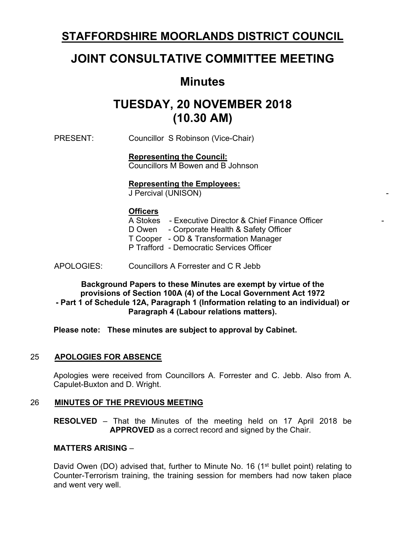## **STAFFORDSHIRE MOORLANDS DISTRICT COUNCIL**

# **JOINT CONSULTATIVE COMMITTEE MEETING**

## **Minutes**

# **TUESDAY, 20 NOVEMBER 2018 (10.30 AM)**

PRESENT: Councillor S Robinson (Vice-Chair)

#### **Representing the Council:**

Councillors M Bowen and B Johnson

#### **Representing the Employees:**

J Percival (UNISON)

#### **Officers**

| A Stokes - Executive Director & Chief Finance Officer |
|-------------------------------------------------------|
| D Owen - Corporate Health & Safety Officer            |
| T Cooper - OD & Transformation Manager                |
| P Trafford - Democratic Services Officer              |
|                                                       |

-

APOLOGIES: Councillors A Forrester and C R Jebb

**Background Papers to these Minutes are exempt by virtue of the provisions of Section 100A (4) of the Local Government Act 1972 - Part 1 of Schedule 12A, Paragraph 1 (Information relating to an individual) or Paragraph 4 (Labour relations matters).**

**Please note: These minutes are subject to approval by Cabinet.**

#### 25 **APOLOGIES FOR ABSENCE**

Apologies were received from Councillors A. Forrester and C. Jebb. Also from A. Capulet-Buxton and D. Wright.

#### 26 **MINUTES OF THE PREVIOUS MEETING**

**RESOLVED** – That the Minutes of the meeting held on 17 April 2018 be **APPROVED** as a correct record and signed by the Chair.

#### **MATTERS ARISING** –

David Owen (DO) advised that, further to Minute No. 16 (1<sup>st</sup> bullet point) relating to Counter-Terrorism training, the training session for members had now taken place and went very well.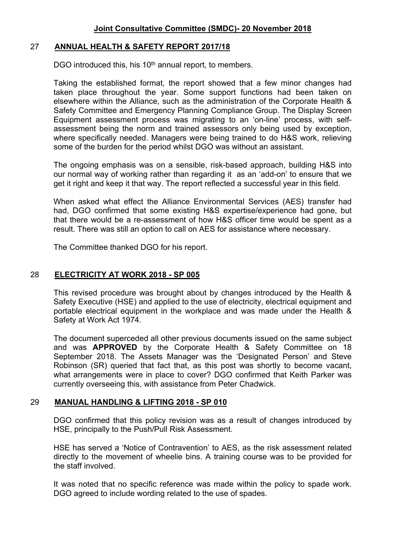#### 27 **ANNUAL HEALTH & SAFETY REPORT 2017/18**

DGO introduced this, his 10<sup>th</sup> annual report, to members.

Taking the established format, the report showed that a few minor changes had taken place throughout the year. Some support functions had been taken on elsewhere within the Alliance, such as the administration of the Corporate Health & Safety Committee and Emergency Planning Compliance Group. The Display Screen Equipment assessment process was migrating to an 'on-line' process, with selfassessment being the norm and trained assessors only being used by exception, where specifically needed. Managers were being trained to do H&S work, relieving some of the burden for the period whilst DGO was without an assistant.

The ongoing emphasis was on a sensible, risk-based approach, building H&S into our normal way of working rather than regarding it as an 'add-on' to ensure that we get it right and keep it that way. The report reflected a successful year in this field.

When asked what effect the Alliance Environmental Services (AES) transfer had had, DGO confirmed that some existing H&S expertise/experience had gone, but that there would be a re-assessment of how H&S officer time would be spent as a result. There was still an option to call on AES for assistance where necessary.

The Committee thanked DGO for his report.

#### 28 **ELECTRICITY AT WORK 2018 - SP 005**

This revised procedure was brought about by changes introduced by the Health & Safety Executive (HSE) and applied to the use of electricity, electrical equipment and portable electrical equipment in the workplace and was made under the Health & Safety at Work Act 1974.

The document superceded all other previous documents issued on the same subject and was **APPROVED** by the Corporate Health & Safety Committee on 18 September 2018. The Assets Manager was the 'Designated Person' and Steve Robinson (SR) queried that fact that, as this post was shortly to become vacant, what arrangements were in place to cover? DGO confirmed that Keith Parker was currently overseeing this, with assistance from Peter Chadwick.

#### 29 **MANUAL HANDLING & LIFTING 2018 - SP 010**

DGO confirmed that this policy revision was as a result of changes introduced by HSE, principally to the Push/Pull Risk Assessment.

HSE has served a 'Notice of Contravention' to AES, as the risk assessment related directly to the movement of wheelie bins. A training course was to be provided for the staff involved.

It was noted that no specific reference was made within the policy to spade work. DGO agreed to include wording related to the use of spades.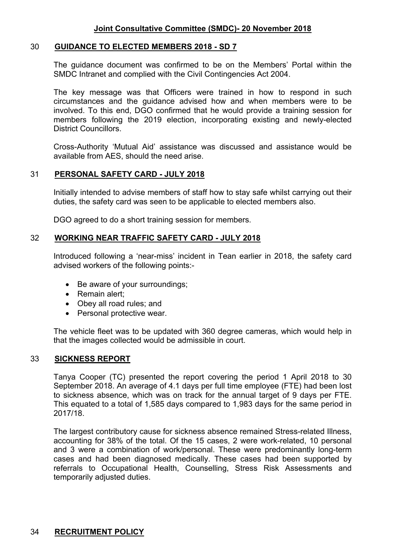#### 30 **GUIDANCE TO ELECTED MEMBERS 2018 - SD 7**

The guidance document was confirmed to be on the Members' Portal within the SMDC Intranet and complied with the Civil Contingencies Act 2004.

The key message was that Officers were trained in how to respond in such circumstances and the guidance advised how and when members were to be involved. To this end, DGO confirmed that he would provide a training session for members following the 2019 election, incorporating existing and newly-elected District Councillors.

Cross-Authority 'Mutual Aid' assistance was discussed and assistance would be available from AES, should the need arise.

#### 31 **PERSONAL SAFETY CARD - JULY 2018**

Initially intended to advise members of staff how to stay safe whilst carrying out their duties, the safety card was seen to be applicable to elected members also.

DGO agreed to do a short training session for members.

#### 32 **WORKING NEAR TRAFFIC SAFETY CARD - JULY 2018**

Introduced following a 'near-miss' incident in Tean earlier in 2018, the safety card advised workers of the following points:-

- Be aware of your surroundings;
- Remain alert:
- Obey all road rules; and
- Personal protective wear.

The vehicle fleet was to be updated with 360 degree cameras, which would help in that the images collected would be admissible in court.

#### 33 **SICKNESS REPORT**

Tanya Cooper (TC) presented the report covering the period 1 April 2018 to 30 September 2018. An average of 4.1 days per full time employee (FTE) had been lost to sickness absence, which was on track for the annual target of 9 days per FTE. This equated to a total of 1,585 days compared to 1,983 days for the same period in 2017/18.

The largest contributory cause for sickness absence remained Stress-related Illness, accounting for 38% of the total. Of the 15 cases, 2 were work-related, 10 personal and 3 were a combination of work/personal. These were predominantly long-term cases and had been diagnosed medically. These cases had been supported by referrals to Occupational Health, Counselling, Stress Risk Assessments and temporarily adjusted duties.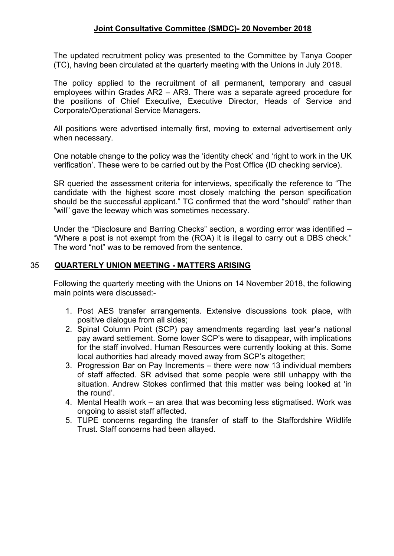The updated recruitment policy was presented to the Committee by Tanya Cooper (TC), having been circulated at the quarterly meeting with the Unions in July 2018.

The policy applied to the recruitment of all permanent, temporary and casual employees within Grades AR2 – AR9. There was a separate agreed procedure for the positions of Chief Executive, Executive Director, Heads of Service and Corporate/Operational Service Managers.

All positions were advertised internally first, moving to external advertisement only when necessary.

One notable change to the policy was the 'identity check' and 'right to work in the UK verification'. These were to be carried out by the Post Office (ID checking service).

SR queried the assessment criteria for interviews, specifically the reference to "The candidate with the highest score most closely matching the person specification should be the successful applicant." TC confirmed that the word "should" rather than "will" gave the leeway which was sometimes necessary.

Under the "Disclosure and Barring Checks" section, a wording error was identified – "Where a post is not exempt from the (ROA) it is illegal to carry out a DBS check." The word "not" was to be removed from the sentence.

#### 35 **QUARTERLY UNION MEETING - MATTERS ARISING**

Following the quarterly meeting with the Unions on 14 November 2018, the following main points were discussed:-

- 1. Post AES transfer arrangements. Extensive discussions took place, with positive dialogue from all sides;
- 2. Spinal Column Point (SCP) pay amendments regarding last year's national pay award settlement. Some lower SCP's were to disappear, with implications for the staff involved. Human Resources were currently looking at this. Some local authorities had already moved away from SCP's altogether;
- 3. Progression Bar on Pay Increments there were now 13 individual members of staff affected. SR advised that some people were still unhappy with the situation. Andrew Stokes confirmed that this matter was being looked at 'in the round'.
- 4. Mental Health work an area that was becoming less stigmatised. Work was ongoing to assist staff affected.
- 5. TUPE concerns regarding the transfer of staff to the Staffordshire Wildlife Trust. Staff concerns had been allayed.